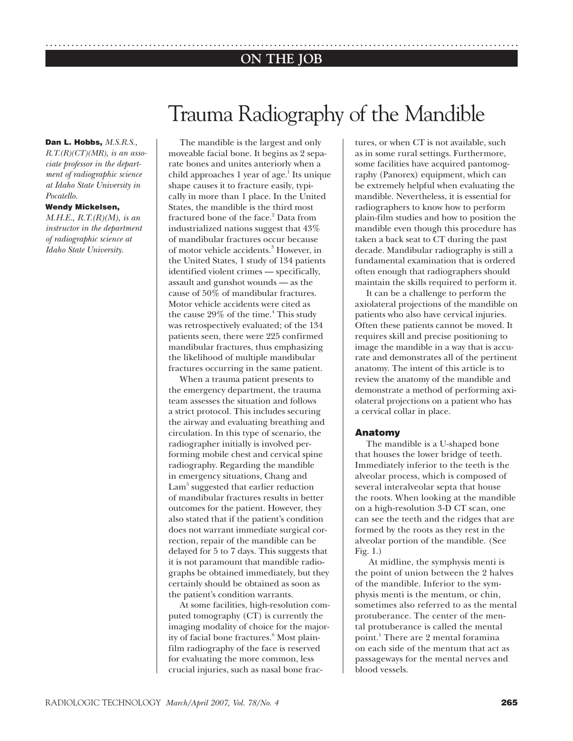## **ON THE JOB** ..............................................................................................................

# Trauma Radiography of the Mandible

#### **Dan L. Hobbs,** *M.S.R.S.,*

*R.T.(R)(CT)(MR), is an associate professor in the department of radiographic science at Idaho State University in Pocatello.*

#### **Wendy Mickelsen,**

*M.H.E., R.T.(R)(M), is an instructor in the department of radiographic science at Idaho State University.*

The mandible is the largest and only moveable facial bone. It begins as 2 separate bones and unites anteriorly when a child approaches 1 year of age.<sup>1</sup> Its unique shape causes it to fracture easily, typically in more than 1 place. In the United States, the mandible is the third most fractured bone of the face.<sup>2</sup> Data from industrialized nations suggest that 43% of mandibular fractures occur because of motor vehicle accidents.<sup>3</sup> However, in the United States, 1 study of 134 patients identified violent crimes — specifically, assault and gunshot wounds — as the cause of 50% of mandibular fractures. Motor vehicle accidents were cited as the cause 29% of the time.<sup>4</sup> This study was retrospectively evaluated; of the 134 patients seen, there were 225 confirmed mandibular fractures, thus emphasizing the likelihood of multiple mandibular fractures occurring in the same patient.

When a trauma patient presents to the emergency department, the trauma team assesses the situation and follows a strict protocol. This includes securing the airway and evaluating breathing and circulation. In this type of scenario, the radiographer initially is involved performing mobile chest and cervical spine radiography. Regarding the mandible in emergency situations, Chang and Lam<sup>5</sup> suggested that earlier reduction of mandibular fractures results in better outcomes for the patient. However, they also stated that if the patient's condition does not warrant immediate surgical correction, repair of the mandible can be delayed for 5 to 7 days. This suggests that it is not paramount that mandible radiographs be obtained immediately, but they certainly should be obtained as soon as the patient's condition warrants.

At some facilities, high-resolution computed tomography (CT) is currently the imaging modality of choice for the majority of facial bone fractures.<sup>6</sup> Most plainfilm radiography of the face is reserved for evaluating the more common, less crucial injuries, such as nasal bone fractures, or when CT is not available, such as in some rural settings. Furthermore, some facilities have acquired pantomography (Panorex) equipment, which can be extremely helpful when evaluating the mandible. Nevertheless, it is essential for radiographers to know how to perform plain-film studies and how to position the mandible even though this procedure has taken a back seat to CT during the past decade. Mandibular radiography is still a fundamental examination that is ordered often enough that radiographers should maintain the skills required to perform it.

It can be a challenge to perform the axiolateral projections of the mandible on patients who also have cervical injuries. Often these patients cannot be moved. It requires skill and precise positioning to image the mandible in a way that is accurate and demonstrates all of the pertinent anatomy. The intent of this article is to review the anatomy of the mandible and demonstrate a method of performing axiolateral projections on a patient who has a cervical collar in place.

### **Anatomy**

The mandible is a U-shaped bone that houses the lower bridge of teeth. Immediately inferior to the teeth is the alveolar process, which is composed of several interalveolar septa that house the roots. When looking at the mandible on a high-resolution 3-D CT scan, one can see the teeth and the ridges that are formed by the roots as they rest in the alveolar portion of the mandible. (See Fig. 1.)

 At midline, the symphysis menti is the point of union between the 2 halves of the mandible. Inferior to the symphysis menti is the mentum, or chin, sometimes also referred to as the mental protuberance. The center of the mental protuberance is called the mental point.<sup>1</sup> There are 2 mental foramina on each side of the mentum that act as passageways for the mental nerves and blood vessels.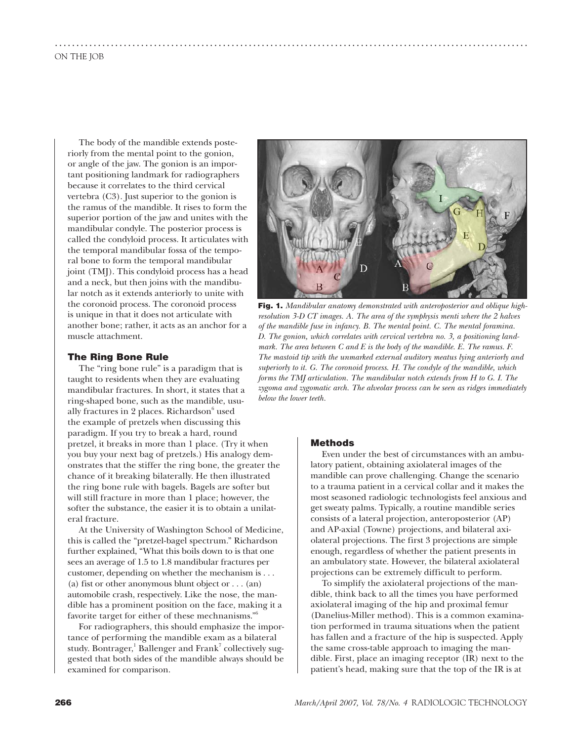The body of the mandible extends posteriorly from the mental point to the gonion, or angle of the jaw. The gonion is an important positioning landmark for radiographers because it correlates to the third cervical vertebra (C3). Just superior to the gonion is the ramus of the mandible. It rises to form the superior portion of the jaw and unites with the mandibular condyle. The posterior process is called the condyloid process. It articulates with the temporal mandibular fossa of the temporal bone to form the temporal mandibular joint (TMJ). This condyloid process has a head and a neck, but then joins with the mandibular notch as it extends anteriorly to unite with the coronoid process. The coronoid process is unique in that it does not articulate with another bone; rather, it acts as an anchor for a muscle attachment.

#### **The Ring Bone Rule**

The "ring bone rule" is a paradigm that is taught to residents when they are evaluating mandibular fractures. In short, it states that a ring-shaped bone, such as the mandible, usually fractures in 2 places. Richardson $6$  used the example of pretzels when discussing this paradigm. If you try to break a hard, round pretzel, it breaks in more than 1 place. (Try it when you buy your next bag of pretzels.) His analogy demonstrates that the stiffer the ring bone, the greater the chance of it breaking bilaterally. He then illustrated the ring bone rule with bagels. Bagels are softer but will still fracture in more than 1 place; however, the softer the substance, the easier it is to obtain a unilateral fracture.

At the University of Washington School of Medicine, this is called the "pretzel-bagel spectrum." Richardson further explained, "What this boils down to is that one sees an average of 1.5 to 1.8 mandibular fractures per customer, depending on whether the mechanism is . . . (a) fist or other anonymous blunt object or . . . (an) automobile crash, respectively. Like the nose, the mandible has a prominent position on the face, making it a favorite target for either of these mechnanisms."6

For radiographers, this should emphasize the importance of performing the mandible exam as a bilateral study. Bontrager, $^1$  Ballenger and Frank $^7$  collectively suggested that both sides of the mandible always should be examined for comparison.



**Fig. 1.** *Mandibular anatomy demonstrated with anteroposterior and oblique highresolution 3-D CT images. A. The area of the symphysis menti where the 2 halves of the mandible fuse in infancy. B. The mental point. C. The mental foramina. D. The gonion, which correlates with cervical vertebra no. 3, a positioning landmark. The area between C and E is the body of the mandible. E. The ramus. F. The mastoid tip with the unmarked external auditory meatus lying anteriorly and superiorly to it. G. The coronoid process. H. The condyle of the mandible, which forms the TMJ articulation. The mandibular notch extends from H to G. I. The zygoma and zygomatic arch. The alveolar process can be seen as ridges immediately below the lower teeth.* 

#### **Methods**

..............................................................................................................

Even under the best of circumstances with an ambulatory patient, obtaining axiolateral images of the mandible can prove challenging. Change the scenario to a trauma patient in a cervical collar and it makes the most seasoned radiologic technologists feel anxious and get sweaty palms. Typically, a routine mandible series consists of a lateral projection, anteroposterior (AP) and AP-axial (Towne) projections, and bilateral axiolateral projections. The first 3 projections are simple enough, regardless of whether the patient presents in an ambulatory state. However, the bilateral axiolateral projections can be extremely difficult to perform.

To simplify the axiolateral projections of the mandible, think back to all the times you have performed axiolateral imaging of the hip and proximal femur (Danelius-Miller method). This is a common examination performed in trauma situations when the patient has fallen and a fracture of the hip is suspected. Apply the same cross-table approach to imaging the mandible. First, place an imaging receptor (IR) next to the patient's head, making sure that the top of the IR is at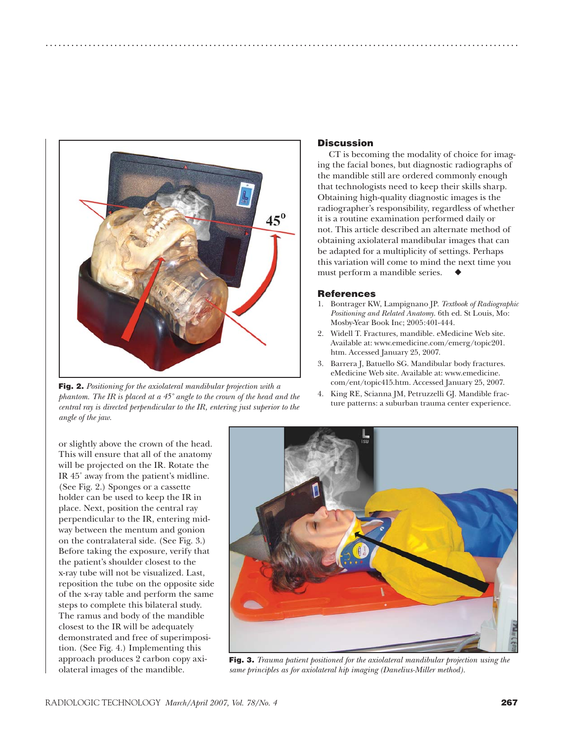

**Fig. 2.** *Positioning for the axiolateral mandibular projection with a phantom. The IR is placed at a 45˚ angle to the crown of the head and the central ray is directed perpendicular to the IR, entering just superior to the angle of the jaw.* 

### **Discussion**

..............................................................................................................

CT is becoming the modality of choice for imaging the facial bones, but diagnostic radiographs of the mandible still are ordered commonly enough that technologists need to keep their skills sharp. Obtaining high-quality diagnostic images is the radiographer's responsibility, regardless of whether it is a routine examination performed daily or not. This article described an alternate method of obtaining axiolateral mandibular images that can be adapted for a multiplicity of settings. Perhaps this variation will come to mind the next time you must perform a mandible series.

#### **References**

- 1. Bontrager KW, Lampignano JP. *Textbook of Radiographic Positioning and Related Anatomy*. 6th ed. St Louis, Mo: Mosby-Year Book Inc; 2005:401-444.
- 2. Widell T. Fractures, mandible. eMedicine Web site. Available at: www.emedicine.com/emerg/topic201. htm. Accessed January 25, 2007.
- 3. Barrera J, Batuello SG. Mandibular body fractures. eMedicine Web site. Available at: www.emedicine. com/ent/topic415.htm. Accessed January 25, 2007.
- 4. King RE, Scianna JM, Petruzzelli GJ. Mandible fracture patterns: a suburban trauma center experience.

or slightly above the crown of the head. This will ensure that all of the anatomy will be projected on the IR. Rotate the IR 45˚ away from the patient's midline. (See Fig. 2.) Sponges or a cassette holder can be used to keep the IR in place. Next, position the central ray perpendicular to the IR, entering midway between the mentum and gonion on the contralateral side. (See Fig. 3.) Before taking the exposure, verify that the patient's shoulder closest to the x-ray tube will not be visualized. Last, reposition the tube on the opposite side of the x-ray table and perform the same steps to complete this bilateral study. The ramus and body of the mandible closest to the IR will be adequately demonstrated and free of superimposition. (See Fig. 4.) Implementing this approach produces 2 carbon copy axiolateral images of the mandible.



**Fig. 3.** *Trauma patient positioned for the axiolateral mandibular projection using the same principles as for axiolateral hip imaging (Danelius-Miller method).*